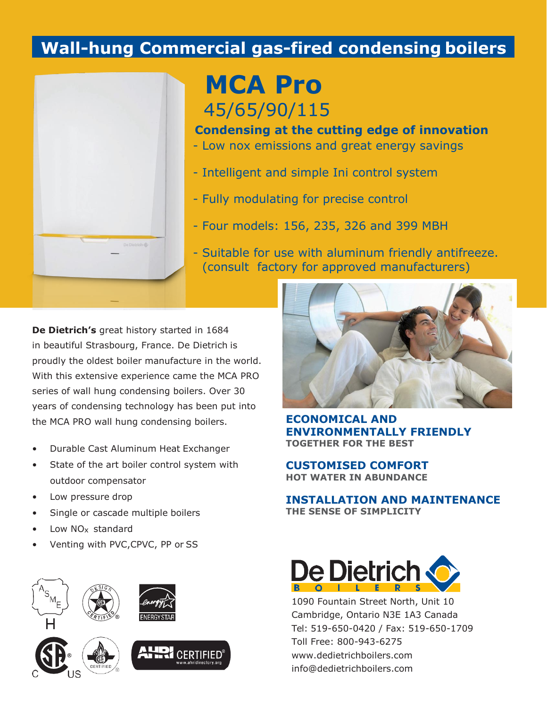# **Wall-hung Commercial gas-fired condensing boilers**



**MCA Pro** 45/65/90/115

**Condensing at the cutting edge of innovation**

- Low nox emissions and great energy savings
- Intelligent and simple Ini control system
- Fully modulating for precise control
- Four models: 156, 235, 326 and 399 MBH
- Suitable for use with aluminum friendly antifreeze. (consult factory for approved manufacturers)

**De Dietrich's** great history started in 1684 in beautiful Strasbourg, France. De Dietrich is proudly the oldest boiler manufacture in the world. With this extensive experience came the MCA PRO series of wall hung condensing boilers. Over 30 years of condensing technology has been put into the MCA PRO wall hung condensing boilers.

- Durable Cast Aluminum Heat Exchanger
- State of the art boiler control system with outdoor compensator
- Low pressure drop
- Single or cascade multiple boilers
- Low NO<sub>x</sub> standard
- Venting with PVC,CPVC, PP or SS





**ECONOMICAL AND ENVIRONMENTALLY FRIENDLY TOGETHER FOR THE BEST**

**CUSTOMISED COMFORT HOT WATER IN ABUNDANCE**

**INSTALLATION AND MAINTENANCE THE SENSE OF SIMPLICITY**



1090 Fountain Street North, Unit 10 Cambridge, Ontario N3E 1A3 Canada Tel: 519-650-0420 / Fax: 519-650-1709 Toll Free: 800-943-6275 [www.dedietrichboilers.com](http://www.dedietrichboilers.com/) [info@dedietrichboilers.com](mailto:info@dedietrichboilers.com)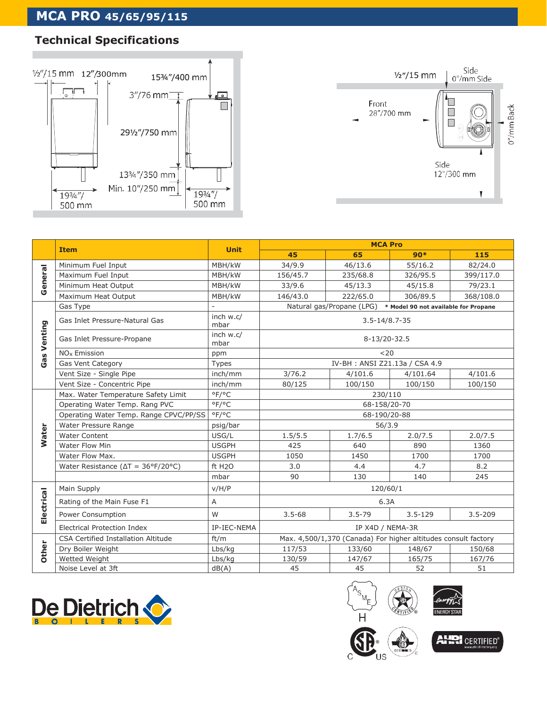#### $\frac{1}{3}$  PICA FIND 43  **MCA PRO 45/65/95/115**

## **Technical Specifications**





|                    |                                                           |                    | <b>MCA Pro</b>                                                    |            |             |             |
|--------------------|-----------------------------------------------------------|--------------------|-------------------------------------------------------------------|------------|-------------|-------------|
|                    | <b>Item</b>                                               | <b>Unit</b>        | 45                                                                | 65         | $90*$       | 115         |
| General            | Minimum Fuel Input                                        | MBH/kW             | 34/9.9                                                            | 46/13.6    | 55/16.2     | 82/24.0     |
|                    | Maximum Fuel Input                                        | MBH/kW             | 156/45.7                                                          | 235/68.8   | 326/95.5    | 399/117.0   |
|                    | Minimum Heat Output                                       | MBH/kW             | 33/9.6                                                            | 45/13.3    | 45/15.8     | 79/23.1     |
|                    | Maximum Heat Output                                       | MBH/kW             | 146/43.0                                                          | 222/65.0   | 306/89.5    | 368/108.0   |
| <b>Gas Venting</b> | Gas Type                                                  |                    | Natural gas/Propane (LPG)<br>* Model 90 not available for Propane |            |             |             |
|                    | Gas Inlet Pressure-Natural Gas                            | inch w.c/<br>mbar  | $3.5 - 14/8.7 - 35$                                               |            |             |             |
|                    | Gas Inlet Pressure-Propane                                | inch w.c/<br>mbar  | 8-13/20-32.5                                                      |            |             |             |
|                    | NO <sub>x</sub> Emission                                  | ppm                | < 20                                                              |            |             |             |
|                    | Gas Vent Category                                         | Types              | IV-BH: ANSI Z21.13a / CSA 4.9                                     |            |             |             |
|                    | Vent Size - Single Pipe                                   | inch/mm            | 3/76.2                                                            | 4/101.6    | 4/101.64    | 4/101.6     |
|                    | Vent Size - Concentric Pipe                               | inch/mm            | 80/125                                                            | 100/150    | 100/150     | 100/150     |
| <b>Water</b>       | Max. Water Temperature Safety Limit                       | °F/°C              | 230/110                                                           |            |             |             |
|                    | Operating Water Temp. Rang PVC                            | °F/°C              | 68-158/20-70                                                      |            |             |             |
|                    | Operating Water Temp. Range CPVC/PP/SS                    | °F/°C              | 68-190/20-88                                                      |            |             |             |
|                    | Water Pressure Range                                      | psig/bar           | 56/3.9                                                            |            |             |             |
|                    | <b>Water Content</b>                                      | USG/L              | 1.5/5.5                                                           | 1.7/6.5    | 2.0/7.5     | 2.0/7.5     |
|                    | Water Flow Min                                            | <b>USGPH</b>       | 425                                                               | 640        | 890         | 1360        |
|                    | Water Flow Max.                                           | <b>USGPH</b>       | 1050                                                              | 1450       | 1700        | 1700        |
|                    | Water Resistance ( $\Delta T = 36^{\circ}F/20^{\circ}C$ ) | ft H <sub>20</sub> | 3.0                                                               | 4.4        | 4.7         | 8.2         |
|                    |                                                           | mbar               | 90                                                                | 130        | 140         | 245         |
| Electrical         | Main Supply                                               | V/H/P              | 120/60/1                                                          |            |             |             |
|                    | Rating of the Main Fuse F1                                | A                  | 6.3A                                                              |            |             |             |
|                    | Power Consumption                                         | W                  | $3.5 - 68$                                                        | $3.5 - 79$ | $3.5 - 129$ | $3.5 - 209$ |
|                    | Electrical Protection Index                               | IP-IEC-NEMA        | IP X4D / NEMA-3R                                                  |            |             |             |
| Other              | <b>CSA Certified Installation Altitude</b>                | ft/m               | Max. 4,500/1,370 (Canada) For higher altitudes consult factory    |            |             |             |
|                    | Dry Boiler Weight                                         | Lbs/kg             | 117/53                                                            | 133/60     | 148/67      | 150/68      |
|                    | Wetted Weight                                             | Lbs/kg             | 130/59                                                            | 147/67     | 165/75      | 167/76      |
|                    | Noise Level at 3ft                                        | dB(A)              | 45                                                                | 45         | 52          | 51          |